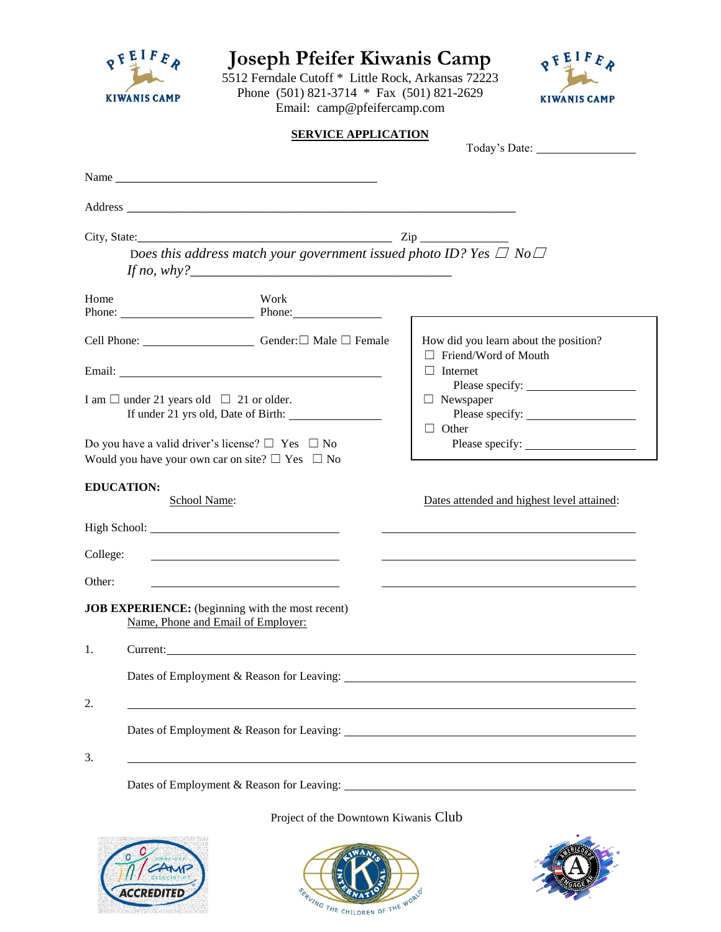|                                                                                                                        | Email: camp@pfeifercamp.com                                                   |                                                                                                                                                |  |
|------------------------------------------------------------------------------------------------------------------------|-------------------------------------------------------------------------------|------------------------------------------------------------------------------------------------------------------------------------------------|--|
|                                                                                                                        | <b>SERVICE APPLICATION</b>                                                    |                                                                                                                                                |  |
|                                                                                                                        |                                                                               |                                                                                                                                                |  |
|                                                                                                                        |                                                                               |                                                                                                                                                |  |
|                                                                                                                        |                                                                               |                                                                                                                                                |  |
|                                                                                                                        | Does this address match your government issued photo ID? Yes $\Box$ No $\Box$ |                                                                                                                                                |  |
| Home                                                                                                                   | Work<br>Phone: Phone: Phone:                                                  |                                                                                                                                                |  |
|                                                                                                                        | Cell Phone: <u>Cell Phone:</u> Gender: □ Male □ Female                        | How did you learn about the position?<br>$\Box$ Friend/Word of Mouth<br>$\Box$ Internet<br>Please specify:<br>$\Box$ Newspaper<br>$\Box$ Other |  |
|                                                                                                                        |                                                                               |                                                                                                                                                |  |
| I am $\Box$ under 21 years old $\Box$ 21 or older.<br>Do you have a valid driver's license? $\square$ Yes $\square$ No | If under 21 yrs old, Date of Birth:                                           |                                                                                                                                                |  |
| Would you have your own car on site? $\Box$ Yes $\Box$ No                                                              |                                                                               |                                                                                                                                                |  |
|                                                                                                                        |                                                                               |                                                                                                                                                |  |
| School Name:                                                                                                           |                                                                               | Dates attended and highest level attained:                                                                                                     |  |
|                                                                                                                        |                                                                               |                                                                                                                                                |  |
| <b>EDUCATION:</b><br>College:                                                                                          | <u> 1999 - Johann Stoff, amerikansk politiker (</u>                           |                                                                                                                                                |  |
|                                                                                                                        |                                                                               |                                                                                                                                                |  |
| Name, Phone and Email of Employer:                                                                                     |                                                                               |                                                                                                                                                |  |
|                                                                                                                        |                                                                               |                                                                                                                                                |  |
| Other:<br>JOB EXPERIENCE: (beginning with the most recent)<br>1.                                                       |                                                                               |                                                                                                                                                |  |
| 2.                                                                                                                     |                                                                               | <u> 1989 - Johann Johann Stoff, deutscher Stoffen und der Stoffen und der Stoffen und der Stoffen und der Stoffen</u>                          |  |
|                                                                                                                        |                                                                               |                                                                                                                                                |  |
| 3.                                                                                                                     |                                                                               |                                                                                                                                                |  |